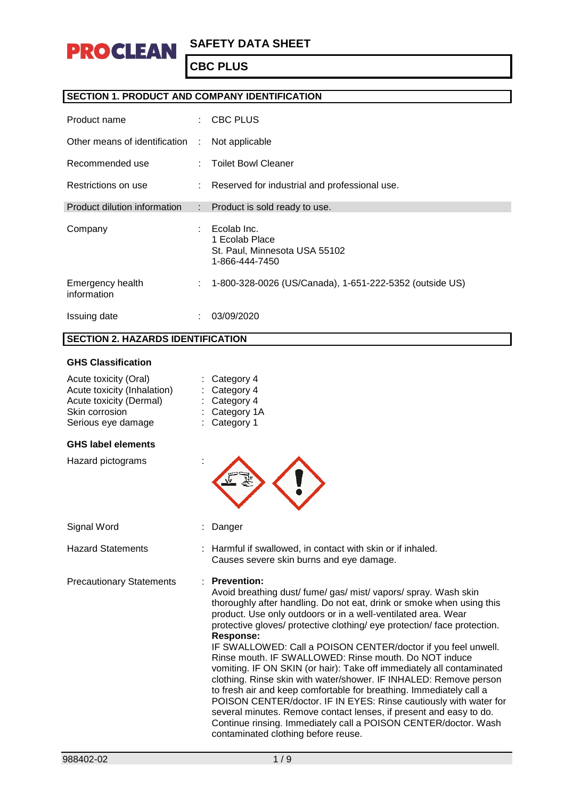

### **SECTION 1. PRODUCT AND COMPANY IDENTIFICATION**

| Product name                    | $\mathcal{L}$               | <b>CBC PLUS</b>                                                                  |
|---------------------------------|-----------------------------|----------------------------------------------------------------------------------|
| Other means of identification   | $\sim$                      | Not applicable                                                                   |
| Recommended use                 |                             | <b>Toilet Bowl Cleaner</b>                                                       |
| Restrictions on use             | $\mathcal{L}^{\mathcal{L}}$ | Reserved for industrial and professional use.                                    |
| Product dilution information    | t.                          | Product is sold ready to use.                                                    |
| Company                         | ÷                           | Ecolab Inc.<br>1 Ecolab Place<br>St. Paul, Minnesota USA 55102<br>1-866-444-7450 |
| Emergency health<br>information | ÷                           | 1-800-328-0026 (US/Canada), 1-651-222-5352 (outside US)                          |
| Issuing date                    |                             | 03/09/2020                                                                       |

### **SECTION 2. HAZARDS IDENTIFICATION**

#### **GHS Classification**

| Acute toxicity (Oral)<br>Acute toxicity (Inhalation)<br>Acute toxicity (Dermal)<br>Skin corrosion<br>Serious eye damage | Category 4<br>Category 4<br>Category 4<br>Category 1A<br>Category 1                                                                                                                                                                                                                                                                                                                                                                                                                                                                                                                                                                                                                                                                                                                                                                                                                                                            |
|-------------------------------------------------------------------------------------------------------------------------|--------------------------------------------------------------------------------------------------------------------------------------------------------------------------------------------------------------------------------------------------------------------------------------------------------------------------------------------------------------------------------------------------------------------------------------------------------------------------------------------------------------------------------------------------------------------------------------------------------------------------------------------------------------------------------------------------------------------------------------------------------------------------------------------------------------------------------------------------------------------------------------------------------------------------------|
| <b>GHS label elements</b>                                                                                               |                                                                                                                                                                                                                                                                                                                                                                                                                                                                                                                                                                                                                                                                                                                                                                                                                                                                                                                                |
| Hazard pictograms                                                                                                       |                                                                                                                                                                                                                                                                                                                                                                                                                                                                                                                                                                                                                                                                                                                                                                                                                                                                                                                                |
| Signal Word                                                                                                             | Danger                                                                                                                                                                                                                                                                                                                                                                                                                                                                                                                                                                                                                                                                                                                                                                                                                                                                                                                         |
| <b>Hazard Statements</b>                                                                                                | Harmful if swallowed, in contact with skin or if inhaled.<br>Causes severe skin burns and eye damage.                                                                                                                                                                                                                                                                                                                                                                                                                                                                                                                                                                                                                                                                                                                                                                                                                          |
| <b>Precautionary Statements</b>                                                                                         | · Prevention:<br>Avoid breathing dust/ fume/ gas/ mist/ vapors/ spray. Wash skin<br>thoroughly after handling. Do not eat, drink or smoke when using this<br>product. Use only outdoors or in a well-ventilated area. Wear<br>protective gloves/ protective clothing/ eye protection/ face protection.<br><b>Response:</b><br>IF SWALLOWED: Call a POISON CENTER/doctor if you feel unwell.<br>Rinse mouth. IF SWALLOWED: Rinse mouth. Do NOT induce<br>vomiting. IF ON SKIN (or hair): Take off immediately all contaminated<br>clothing. Rinse skin with water/shower. IF INHALED: Remove person<br>to fresh air and keep comfortable for breathing. Immediately call a<br>POISON CENTER/doctor. IF IN EYES: Rinse cautiously with water for<br>several minutes. Remove contact lenses, if present and easy to do.<br>Continue rinsing. Immediately call a POISON CENTER/doctor. Wash<br>contaminated clothing before reuse. |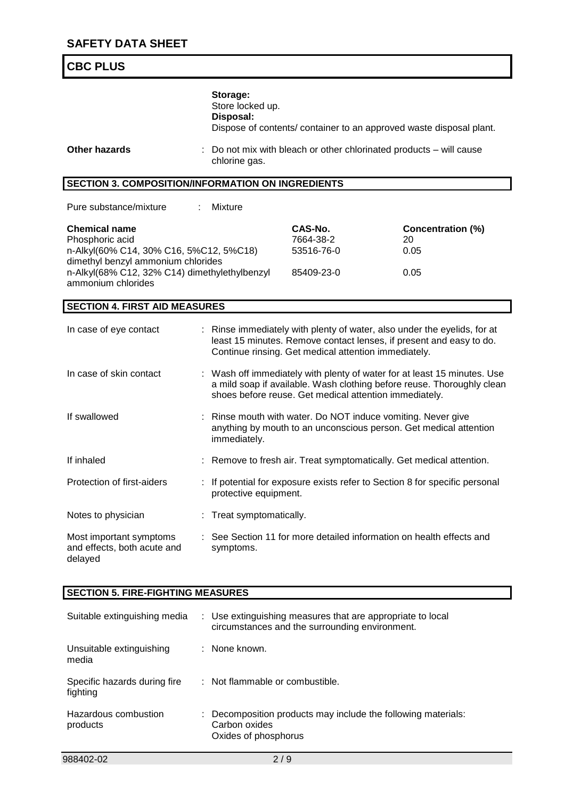| <b>CBC PLUS</b>                                                                                                          |    |                                           |                                                                                                                                                                                                              |                                        |
|--------------------------------------------------------------------------------------------------------------------------|----|-------------------------------------------|--------------------------------------------------------------------------------------------------------------------------------------------------------------------------------------------------------------|----------------------------------------|
| <b>Other hazards</b>                                                                                                     |    | Storage:<br>Store locked up.<br>Disposal: | Dispose of contents/ container to an approved waste disposal plant.<br>: Do not mix with bleach or other chlorinated products – will cause                                                                   |                                        |
|                                                                                                                          |    | chlorine gas.                             |                                                                                                                                                                                                              |                                        |
| <b>SECTION 3. COMPOSITION/INFORMATION ON INGREDIENTS</b>                                                                 |    |                                           |                                                                                                                                                                                                              |                                        |
| Pure substance/mixture                                                                                                   |    | Mixture                                   |                                                                                                                                                                                                              |                                        |
| <b>Chemical name</b><br>Phosphoric acid<br>n-Alkyl(60% C14, 30% C16, 5%C12, 5%C18)<br>dimethyl benzyl ammonium chlorides |    |                                           | CAS-No.<br>7664-38-2<br>53516-76-0                                                                                                                                                                           | <b>Concentration (%)</b><br>20<br>0.05 |
| n-Alkyl(68% C12, 32% C14) dimethylethylbenzyl<br>ammonium chlorides                                                      |    |                                           | 85409-23-0                                                                                                                                                                                                   | 0.05                                   |
| <b>SECTION 4. FIRST AID MEASURES</b>                                                                                     |    |                                           |                                                                                                                                                                                                              |                                        |
| In case of eye contact                                                                                                   |    |                                           | : Rinse immediately with plenty of water, also under the eyelids, for at<br>least 15 minutes. Remove contact lenses, if present and easy to do.<br>Continue rinsing. Get medical attention immediately.      |                                        |
| In case of skin contact                                                                                                  |    |                                           | : Wash off immediately with plenty of water for at least 15 minutes. Use<br>a mild soap if available. Wash clothing before reuse. Thoroughly clean<br>shoes before reuse. Get medical attention immediately. |                                        |
| If swallowed                                                                                                             |    | immediately.                              | Rinse mouth with water. Do NOT induce vomiting. Never give<br>anything by mouth to an unconscious person. Get medical attention                                                                              |                                        |
| If inhaled                                                                                                               |    |                                           | : Remove to fresh air. Treat symptomatically. Get medical attention.                                                                                                                                         |                                        |
| Protection of first-aiders                                                                                               |    | protective equipment.                     | If potential for exposure exists refer to Section 8 for specific personal                                                                                                                                    |                                        |
| Notes to physician                                                                                                       | ÷. | Treat symptomatically.                    |                                                                                                                                                                                                              |                                        |
| Most important symptoms<br>and effects, both acute and<br>delayed                                                        |    | symptoms.                                 | See Section 11 for more detailed information on health effects and                                                                                                                                           |                                        |
| <b>SECTION 5. FIRE-FIGHTING MEASURES</b>                                                                                 |    |                                           |                                                                                                                                                                                                              |                                        |
| Suitable extinguishing media                                                                                             | ÷. |                                           | Use extinguishing measures that are appropriate to local<br>circumstances and the surrounding environment.                                                                                                   |                                        |

Unsuitable extinguishing : None known.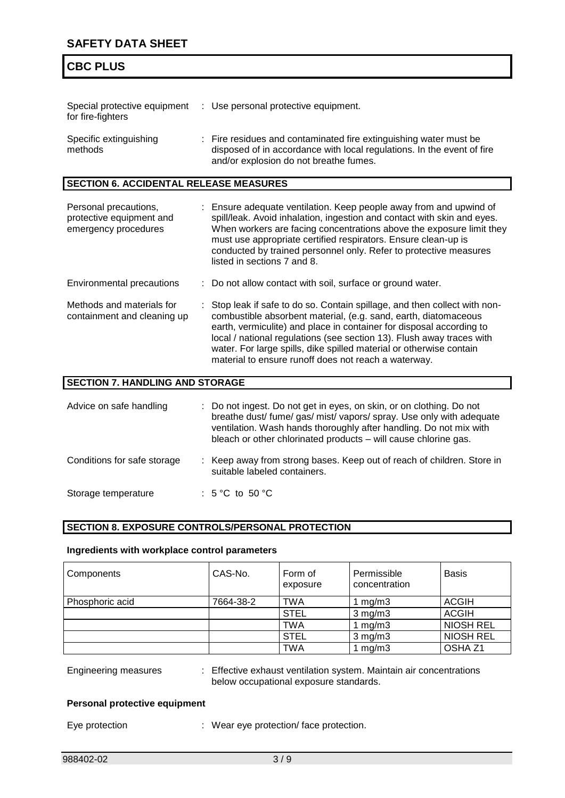## **SAFETY DATA SHEET**

# **CBC PLUS**

| Special protective equipment<br>for fire-fighters                         | : Use personal protective equipment.                                                                                                                                                                                                                                                                                                                                                                                        |
|---------------------------------------------------------------------------|-----------------------------------------------------------------------------------------------------------------------------------------------------------------------------------------------------------------------------------------------------------------------------------------------------------------------------------------------------------------------------------------------------------------------------|
| Specific extinguishing<br>methods                                         | : Fire residues and contaminated fire extinguishing water must be<br>disposed of in accordance with local regulations. In the event of fire<br>and/or explosion do not breathe fumes.                                                                                                                                                                                                                                       |
| <b>SECTION 6. ACCIDENTAL RELEASE MEASURES</b>                             |                                                                                                                                                                                                                                                                                                                                                                                                                             |
| Personal precautions,<br>protective equipment and<br>emergency procedures | : Ensure adequate ventilation. Keep people away from and upwind of<br>spill/leak. Avoid inhalation, ingestion and contact with skin and eyes.<br>When workers are facing concentrations above the exposure limit they<br>must use appropriate certified respirators. Ensure clean-up is<br>conducted by trained personnel only. Refer to protective measures<br>listed in sections 7 and 8.                                 |
| Environmental precautions                                                 | : Do not allow contact with soil, surface or ground water.                                                                                                                                                                                                                                                                                                                                                                  |
| Methods and materials for<br>containment and cleaning up                  | Stop leak if safe to do so. Contain spillage, and then collect with non-<br>combustible absorbent material, (e.g. sand, earth, diatomaceous<br>earth, vermiculite) and place in container for disposal according to<br>local / national regulations (see section 13). Flush away traces with<br>water. For large spills, dike spilled material or otherwise contain<br>material to ensure runoff does not reach a waterway. |
| <b>SECTION 7. HANDLING AND STORAGE</b>                                    |                                                                                                                                                                                                                                                                                                                                                                                                                             |

| Advice on safe handling     | : Do not ingest. Do not get in eyes, on skin, or on clothing. Do not<br>breathe dust/ fume/ gas/ mist/ vapors/ spray. Use only with adequate<br>ventilation. Wash hands thoroughly after handling. Do not mix with<br>bleach or other chlorinated products - will cause chlorine gas. |
|-----------------------------|---------------------------------------------------------------------------------------------------------------------------------------------------------------------------------------------------------------------------------------------------------------------------------------|
| Conditions for safe storage | : Keep away from strong bases. Keep out of reach of children. Store in<br>suitable labeled containers.                                                                                                                                                                                |
| Storage temperature         | : $5^{\circ}$ C to $50^{\circ}$ C                                                                                                                                                                                                                                                     |

### **SECTION 8. EXPOSURE CONTROLS/PERSONAL PROTECTION**

#### **Ingredients with workplace control parameters**

| Components      | CAS-No.   | Form of<br>exposure | Permissible<br>concentration | <b>Basis</b>       |
|-----------------|-----------|---------------------|------------------------------|--------------------|
| Phosphoric acid | 7664-38-2 | <b>TWA</b>          | mg/m3                        | <b>ACGIH</b>       |
|                 |           | <b>STEL</b>         | $3$ mg/m $3$                 | <b>ACGIH</b>       |
|                 |           | <b>TWA</b>          | mq/m3                        | <b>NIOSH REL</b>   |
|                 |           | <b>STEL</b>         | $3$ mg/m $3$                 | <b>NIOSH REL</b>   |
|                 |           | <b>TWA</b>          | mg/m3                        | OSHA <sub>Z1</sub> |

Engineering measures : Effective exhaust ventilation system. Maintain air concentrations below occupational exposure standards.

#### **Personal protective equipment**

Eye protection : Wear eye protection/ face protection.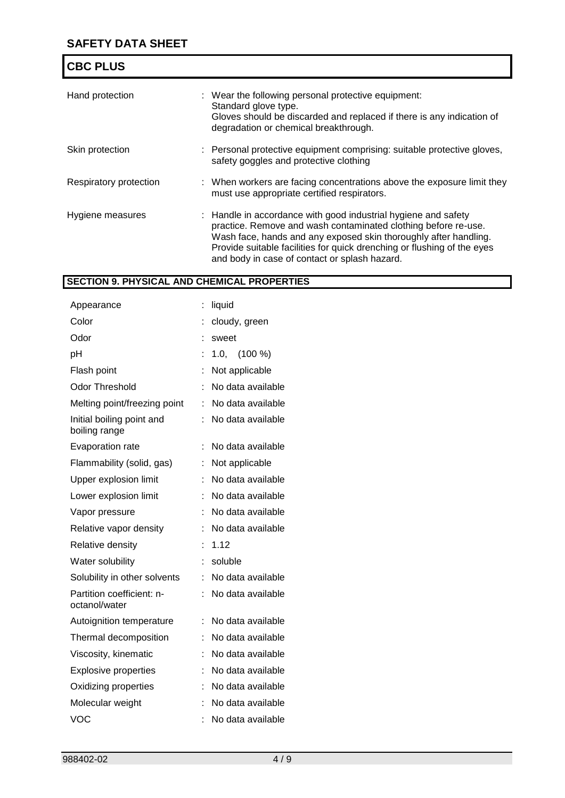| <b>CBC PLUS</b>        |                                                                                                                                                                                                                                                                                                                                  |
|------------------------|----------------------------------------------------------------------------------------------------------------------------------------------------------------------------------------------------------------------------------------------------------------------------------------------------------------------------------|
| Hand protection        | : Wear the following personal protective equipment:<br>Standard glove type.<br>Gloves should be discarded and replaced if there is any indication of<br>degradation or chemical breakthrough.                                                                                                                                    |
| Skin protection        | : Personal protective equipment comprising: suitable protective gloves,<br>safety goggles and protective clothing                                                                                                                                                                                                                |
| Respiratory protection | : When workers are facing concentrations above the exposure limit they<br>must use appropriate certified respirators.                                                                                                                                                                                                            |
| Hygiene measures       | : Handle in accordance with good industrial hygiene and safety<br>practice. Remove and wash contaminated clothing before re-use.<br>Wash face, hands and any exposed skin thoroughly after handling.<br>Provide suitable facilities for quick drenching or flushing of the eyes<br>and body in case of contact or splash hazard. |

# **SECTION 9. PHYSICAL AND CHEMICAL PROPERTIES**

| Appearance                                 | t | liquid            |
|--------------------------------------------|---|-------------------|
| Color                                      |   | cloudy, green     |
| Odor                                       |   | sweet             |
| рH                                         |   | $1.0,$ $(100\%)$  |
| Flash point                                |   | Not applicable    |
| <b>Odor Threshold</b>                      | t | No data available |
| Melting point/freezing point               | t | No data available |
| Initial boiling point and<br>boiling range | t | No data available |
| Evaporation rate                           | t | No data available |
| Flammability (solid, gas)                  | t | Not applicable    |
| Upper explosion limit                      | t | No data available |
| Lower explosion limit                      | t | No data available |
| Vapor pressure                             | t | No data available |
| Relative vapor density                     | t | No data available |
| Relative density                           | t | 1.12              |
| Water solubility                           |   | soluble           |
| Solubility in other solvents               |   | No data available |
| Partition coefficient: n-<br>octanol/water |   | No data available |
| Autoignition temperature                   | t | No data available |
| Thermal decomposition                      | t | No data available |
| Viscosity, kinematic                       | t | No data available |
| <b>Explosive properties</b>                | t | No data available |
| Oxidizing properties                       |   | No data available |
| Molecular weight                           |   | No data available |
| <b>VOC</b>                                 |   | No data available |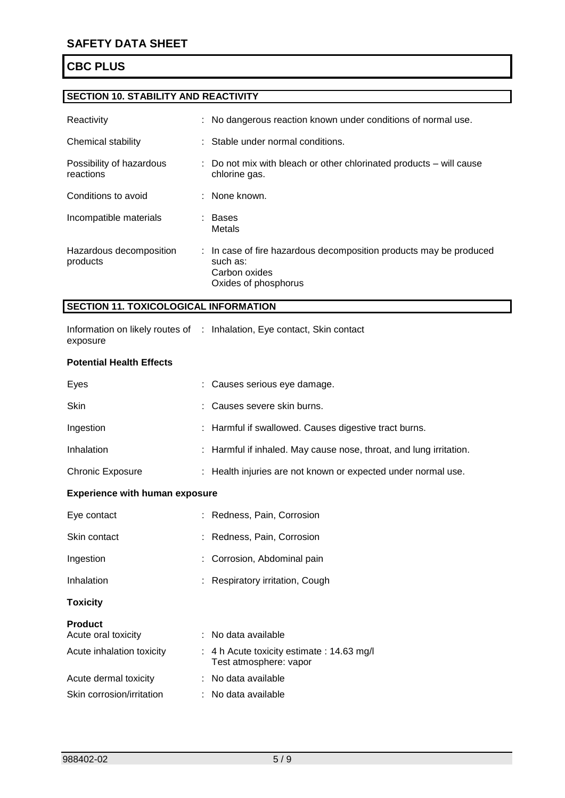# **SECTION 10. STABILITY AND REACTIVITY**

| Reactivity                            | : No dangerous reaction known under conditions of normal use.                                                           |
|---------------------------------------|-------------------------------------------------------------------------------------------------------------------------|
| Chemical stability                    | : Stable under normal conditions.                                                                                       |
| Possibility of hazardous<br>reactions | : Do not mix with bleach or other chlorinated products – will cause<br>chlorine gas.                                    |
| Conditions to avoid                   | : None known.                                                                                                           |
| Incompatible materials                | : Bases<br>Metals                                                                                                       |
| Hazardous decomposition<br>products   | : In case of fire hazardous decomposition products may be produced<br>such as:<br>Carbon oxides<br>Oxides of phosphorus |

### **SECTION 11. TOXICOLOGICAL INFORMATION**

|          | Information on likely routes of : Inhalation, Eye contact, Skin contact |  |
|----------|-------------------------------------------------------------------------|--|
| exposure |                                                                         |  |

#### **Potential Health Effects**

| Eyes              | : Causes serious eye damage.                                       |
|-------------------|--------------------------------------------------------------------|
| <b>Skin</b>       | : Causes severe skin burns.                                        |
| Ingestion         | : Harmful if swallowed. Causes digestive tract burns.              |
| <b>Inhalation</b> | : Harmful if inhaled. May cause nose, throat, and lung irritation. |

### Chronic Exposure : Health injuries are not known or expected under normal use.

### **Experience with human exposure**

| Eye contact               | : Redness, Pain, Corrosion                                           |
|---------------------------|----------------------------------------------------------------------|
| Skin contact              | : Redness, Pain, Corrosion                                           |
| Ingestion                 | : Corrosion, Abdominal pain                                          |
| Inhalation                | : Respiratory irritation, Cough                                      |
| <b>Toxicity</b>           |                                                                      |
| <b>Product</b>            |                                                                      |
| Acute oral toxicity       | : No data available                                                  |
| Acute inhalation toxicity | : 4 h Acute toxicity estimate : 14.63 mg/l<br>Test atmosphere: vapor |
| Acute dermal toxicity     | : No data available                                                  |
| Skin corrosion/irritation | : No data available                                                  |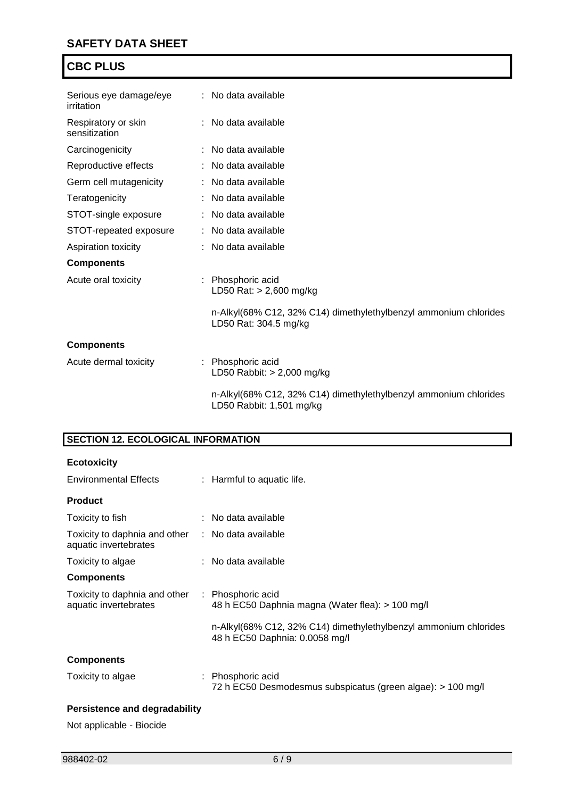| Serious eye damage/eye<br>irritation | : No data available                                                                          |
|--------------------------------------|----------------------------------------------------------------------------------------------|
| Respiratory or skin<br>sensitization | : No data available                                                                          |
| Carcinogenicity                      | : No data available                                                                          |
| Reproductive effects                 | : No data available                                                                          |
| Germ cell mutagenicity               | : No data available                                                                          |
| Teratogenicity                       | : No data available                                                                          |
| STOT-single exposure                 | : No data available                                                                          |
| STOT-repeated exposure               | : No data available                                                                          |
| Aspiration toxicity                  | : No data available                                                                          |
| <b>Components</b>                    |                                                                                              |
| Acute oral toxicity                  | : Phosphoric acid<br>LD50 Rat: > 2,600 mg/kg                                                 |
|                                      | n-Alkyl(68% C12, 32% C14) dimethylethylbenzyl ammonium chlorides<br>LD50 Rat: 304.5 mg/kg    |
| <b>Components</b>                    |                                                                                              |
| Acute dermal toxicity                | : Phosphoric acid<br>LD50 Rabbit: $> 2,000$ mg/kg                                            |
|                                      | n-Alkyl(68% C12, 32% C14) dimethylethylbenzyl ammonium chlorides<br>LD50 Rabbit: 1,501 mg/kg |

# **SECTION 12. ECOLOGICAL INFORMATION**

| <b>Ecotoxicity</b>                                                         |                                                                                                    |  |
|----------------------------------------------------------------------------|----------------------------------------------------------------------------------------------------|--|
| <b>Environmental Effects</b>                                               | : Harmful to aquatic life.                                                                         |  |
| <b>Product</b>                                                             |                                                                                                    |  |
| Toxicity to fish                                                           | $:$ No data available                                                                              |  |
| Toxicity to daphnia and other : No data available<br>aquatic invertebrates |                                                                                                    |  |
| Toxicity to algae                                                          | : No data available                                                                                |  |
| <b>Components</b>                                                          |                                                                                                    |  |
| Toxicity to daphnia and other : Phosphoric acid<br>aquatic invertebrates   | 48 h EC50 Daphnia magna (Water flea): > 100 mg/l                                                   |  |
|                                                                            | n-Alkyl(68% C12, 32% C14) dimethylethylbenzyl ammonium chlorides<br>48 h EC50 Daphnia: 0.0058 mg/l |  |
| <b>Components</b>                                                          |                                                                                                    |  |
| Toxicity to algae                                                          | : Phosphoric acid<br>72 h EC50 Desmodesmus subspicatus (green algae): > 100 mg/l                   |  |
| <b>Persistence and degradability</b>                                       |                                                                                                    |  |

Not applicable - Biocide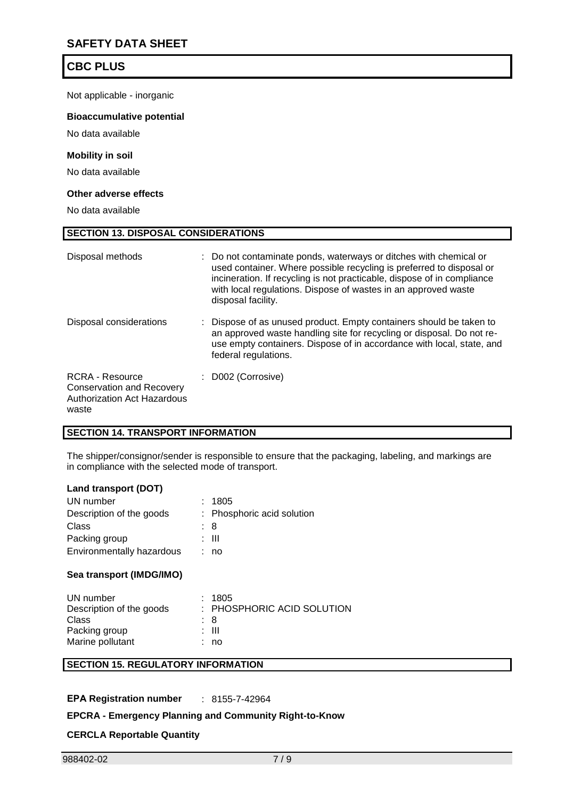Not applicable - inorganic

#### **Bioaccumulative potential**

No data available

#### **Mobility in soil**

No data available

#### **Other adverse effects**

No data available

| <b>SECTION 13. DISPOSAL CONSIDERATIONS</b>                                                         |                                                                                                                                                                                                                                                                                                              |  |  |  |
|----------------------------------------------------------------------------------------------------|--------------------------------------------------------------------------------------------------------------------------------------------------------------------------------------------------------------------------------------------------------------------------------------------------------------|--|--|--|
| Disposal methods                                                                                   | : Do not contaminate ponds, waterways or ditches with chemical or<br>used container. Where possible recycling is preferred to disposal or<br>incineration. If recycling is not practicable, dispose of in compliance<br>with local regulations. Dispose of wastes in an approved waste<br>disposal facility. |  |  |  |
| Disposal considerations                                                                            | Dispose of as unused product. Empty containers should be taken to<br>an approved waste handling site for recycling or disposal. Do not re-<br>use empty containers. Dispose of in accordance with local, state, and<br>federal regulations.                                                                  |  |  |  |
| RCRA - Resource<br><b>Conservation and Recovery</b><br><b>Authorization Act Hazardous</b><br>waste | D002 (Corrosive)                                                                                                                                                                                                                                                                                             |  |  |  |

#### **SECTION 14. TRANSPORT INFORMATION**

The shipper/consignor/sender is responsible to ensure that the packaging, labeling, and markings are in compliance with the selected mode of transport.

#### **Land transport (DOT)**

| UN number                 | : 1805                     |
|---------------------------|----------------------------|
| Description of the goods  | : Phosphoric acid solution |
| Class                     | : 8                        |
| Packing group             | : III                      |
| Environmentally hazardous | : no                       |
|                           |                            |

#### **Sea transport (IMDG/IMO)**

| UN number                | : 1805                     |
|--------------------------|----------------------------|
| Description of the goods | : PHOSPHORIC ACID SOLUTION |
| Class                    | : 8                        |
| Packing group            | : III                      |
| Marine pollutant         | : no                       |

### **SECTION 15. REGULATORY INFORMATION**

**EPA Registration number** : 8155-7-42964

#### **EPCRA - Emergency Planning and Community Right-to-Know**

### **CERCLA Reportable Quantity**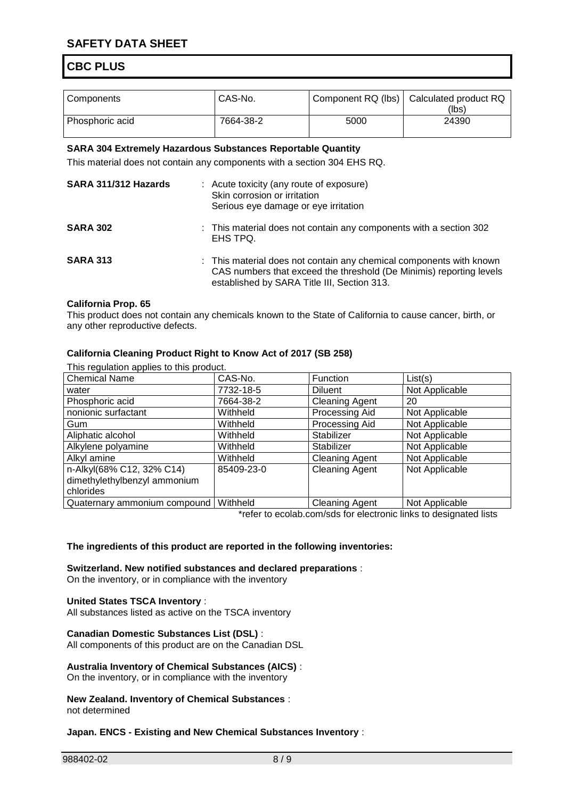## **SAFETY DATA SHEET**

## **CBC PLUS**

| Components      | CAS-No.   |      | Component RQ (lbs)   Calculated product RQ<br>(lbs) |
|-----------------|-----------|------|-----------------------------------------------------|
| Phosphoric acid | 7664-38-2 | 5000 | 24390                                               |

#### **SARA 304 Extremely Hazardous Substances Reportable Quantity**

This material does not contain any components with a section 304 EHS RQ.

| SARA 311/312 Hazards | : Acute toxicity (any route of exposure)<br>Skin corrosion or irritation<br>Serious eye damage or eye irritation |                                                                                                                                                                                           |
|----------------------|------------------------------------------------------------------------------------------------------------------|-------------------------------------------------------------------------------------------------------------------------------------------------------------------------------------------|
| <b>SARA 302</b>      |                                                                                                                  | : This material does not contain any components with a section 302<br>EHS TPQ.                                                                                                            |
| <b>SARA 313</b>      |                                                                                                                  | : This material does not contain any chemical components with known<br>CAS numbers that exceed the threshold (De Minimis) reporting levels<br>established by SARA Title III, Section 313. |

#### **California Prop. 65**

This product does not contain any chemicals known to the State of California to cause cancer, birth, or any other reproductive defects.

#### **California Cleaning Product Right to Know Act of 2017 (SB 258)**

This regulation applies to this product.

| <b>Chemical Name</b>         | CAS-No.    | Function              | List(s)        |
|------------------------------|------------|-----------------------|----------------|
| water                        | 7732-18-5  | <b>Diluent</b>        | Not Applicable |
| Phosphoric acid              | 7664-38-2  | <b>Cleaning Agent</b> | 20             |
| nonionic surfactant          | Withheld   | Processing Aid        | Not Applicable |
| Gum                          | Withheld   | Processing Aid        | Not Applicable |
| Aliphatic alcohol            | Withheld   | Stabilizer            | Not Applicable |
| Alkylene polyamine           | Withheld   | Stabilizer            | Not Applicable |
| Alkyl amine                  | Withheld   | <b>Cleaning Agent</b> | Not Applicable |
| n-Alkyl(68% C12, 32% C14)    | 85409-23-0 | <b>Cleaning Agent</b> | Not Applicable |
| dimethylethylbenzyl ammonium |            |                       |                |
| chlorides                    |            |                       |                |
| Quaternary ammonium compound | Withheld   | <b>Cleaning Agent</b> | Not Applicable |

\*refer to ecolab.com/sds for electronic links to designated lists

#### **The ingredients of this product are reported in the following inventories:**

**Switzerland. New notified substances and declared preparations** :

On the inventory, or in compliance with the inventory

#### **United States TSCA Inventory** :

All substances listed as active on the TSCA inventory

#### **Canadian Domestic Substances List (DSL)** :

All components of this product are on the Canadian DSL

#### **Australia Inventory of Chemical Substances (AICS)** :

On the inventory, or in compliance with the inventory

#### **New Zealand. Inventory of Chemical Substances** : not determined

#### **Japan. ENCS - Existing and New Chemical Substances Inventory** :